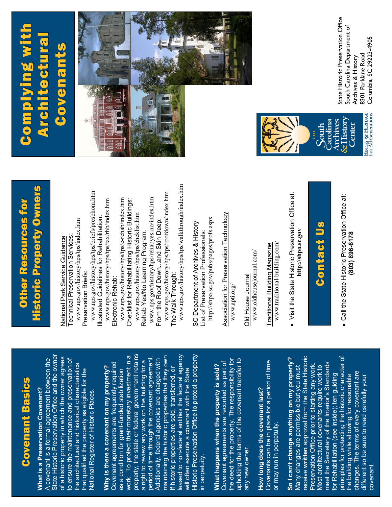# Covenant Basics**Covenant Basics**

State Historic Preservation Office and the owner State Historic Preservation Office and the owner of a historic property in which the owner agrees of a historic property in which the owner agrees A covenant is a formal agreement between the A covenant is a formal agreement between the to ensure the maintenance and preservation of to ensure the maintenance and preservation of **What is a Preservation Covenant? Nhat is a Preservation Covenant?** 

the architectural and historical characteristics that qualified the property as eligible for the National Register of Historic Places.

that qualified the property as eligible for the

National Register of Historic Places.

the architectural and historical characteristics

maintaining the historic properties that they own. property, the state or federal government retains property, the state or federal government retains leased to non-federal entities the federal agency Historic Preservation Office to protect a property work. To protect their monetary investment in a work. To protect their monetary investment in a Historic Preservation Office to protect a property period of time through the covenant agreement. maintaining the historic properties that they own eased to non-federal entities the federal agency period of time through the covenant agreement Additionally, federal agencies are charged with Additionally, federal agencies are charged with a right to review any work on the building for a a right to review any work on the building for a Covenant agreements are frequently required Covenant agreements are frequently required **Why is there a covenant on my property?**  Why is there a covenant on my property? If historic properties are sold, transferred, or If historic properties are sold, transferred, or as a condition for grant-funded stabilization will often execute a covenant with the State as a condition for grant-funded stabilization will often execute a covenant with the State in perpetuity.

the deed for the property. The responsibility for upholding the terms of the covenant transfer to the deed for the property. The responsibility for upholding the terms of the covenant transfer to Covenant agreements are recorded as part of Covenant agreements are recorded as part of **What happens when the property is sold?**  What happens when the property is sold? any new owner. any new owner.

n perpetuity

Covenants can be in place for a period of time Covenants can be in place for a period of time **How long does the covenant last?**  How long does the covenant last? or may run in perpetuity. or may run in perpetuity.

receive written approval from the State Historic receive **written** approval from the State Historic **So I can't change anything on my property?**  principles for protecting the historic character of principles for protecting the historic character of So I can't change anything on my property? meet the Secretary of the Interior's Standards Preservation Office prior to starting any work. meet the Secretary of the Interior's Standards Preservation Office prior to starting any work. Most architectural covenants require work to Most architectural covenants require work to Many changes are permissible but you must Many changes are permissible but you must changes. The terms of every covenant are changes. The terms of every covenant are for Rehabilitation (see inside); ten guiding for Rehabilitation (see inside); ten guiding the building while allowing for reasonable the building while allowing for reasonable different so be sure to read carefully your different so be sure to read carefully your covenant.

## Historic Property Owners **Historic Property Owners** Other Resources for **Other Resources for**

National Park Service Guidance National Park Service Guidance

www.nps.gov/history/hps/tps/index.htm www.nps.gov/history/hps/tps/index.htm Technical Preservation Services: echnical Preservation Services: Preservation Briefs:

www.nps.gov/history/hps/tps/briefs/presbhom.htm www.nps.gov/history/hps/tps/briefs/presbhom.htm www.nps.gov/history/hps/tps/tax/rhb/index.htm www.nps.gov/history/hps/tps/tax/rhb/index.htm Illustrated Guidelines for Rehabilitation: Illustrated Guidelines for Rehabilitation: Preservation Briefs:

Checklist for Rehabilitating Historic Buildings: www.nps.gov/history/hps/tps/e-rehab/index.htm www.nps.gov/history/hps/tps/e-rehab/index.htm Checklist for Rehabilitating Historic Buildings: www.nps.gov/history/hps/tps/cheklist.htm www.nps.gov/history/hps/tps/cheklist.htm Rehab Yes/No Learning Program: Rehab Yes/No Learning Program: Electronic Rehab: Electronic Rehab:

www.nps.gov/history/hps/rehabyes-no/index.htm www.nps.gov/history/hps/rehabyes-no/index.htm From the Roof Down...and Skin Deep:

www.nps.gov/history/hps/tps/roofdown/index.htm www.nps.gov/history/hps/tps/roofdown/index.htm From the Roof Down...and Skin Deep: The Walk Through: The Walk Through:

www.nps.gov/history/hps/tps/walkthrough/index.htm www.nps.gov/history/hps/tps/walkthrough/index.htm

 http://shpo.sc.gov/pubs/pages/profs.aspx http://shpo.sc.gov/pubs/pages/profs.aspx SC Department of Archives & History SC Department of Archives & History List of Preservation Professionals: List of Preservation Professionals:

Association for Preservation Technology Association for Preservation Technology www.apti.org/ www.apti.org/

www.oldhousejournal.com/ www.oldhousejournal.com/ Old House Journal Old House Journal

www.traditional-building.com/ www.traditional-building.com/ Traditional Building Magazine Traditional Building Magazine

• Visit the State Historic Preservation Office at: • Visit the State Historic Preservation Office at: http://shpo.sc.gov **http://shpo.sc.gov**

# Contact Us

• Call the State Historic Preservation Office at: • Call the State Historic Preservation Office at:<br>(803) 896-6178 **(803) 896-6178**

### Complying with **Complying with** Architectural **Architectural** Covenants





State Historic Preservation Office State Historic Preservation Office South Carolina Department of South Carolina Department of Columbia, SC 29223-4905 Columbia, SC 29223-4905 8301 Parklane Road 8301 Parklane Road Archives & History Archives & History